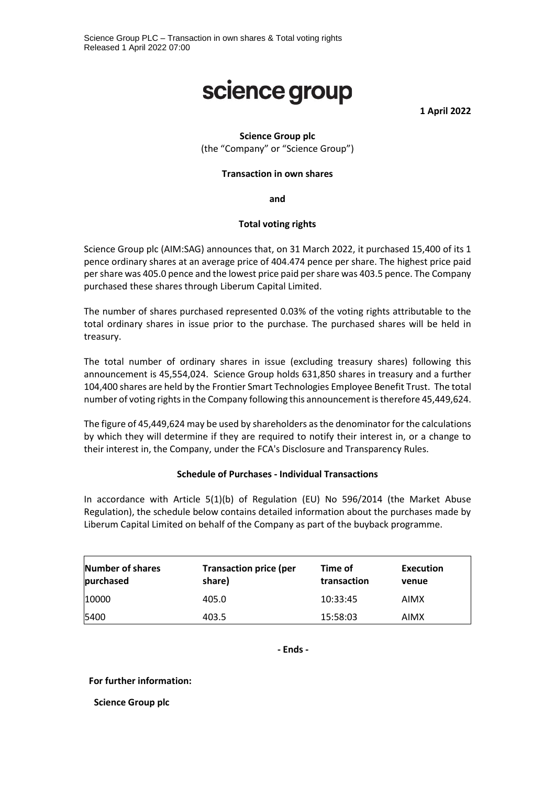# science group

**1 April 2022**

# **Science Group plc** (the "Company" or "Science Group")

#### **Transaction in own shares**

**and**

#### **Total voting rights**

Science Group plc (AIM:SAG) announces that, on 31 March 2022, it purchased 15,400 of its 1 pence ordinary shares at an average price of 404.474 pence per share. The highest price paid per share was 405.0 pence and the lowest price paid per share was 403.5 pence. The Company purchased these shares through Liberum Capital Limited.

The number of shares purchased represented 0.03% of the voting rights attributable to the total ordinary shares in issue prior to the purchase. The purchased shares will be held in treasury.

The total number of ordinary shares in issue (excluding treasury shares) following this announcement is 45,554,024. Science Group holds 631,850 shares in treasury and a further 104,400 shares are held by the Frontier Smart Technologies Employee Benefit Trust. The total number of voting rights in the Company following this announcement is therefore 45,449,624.

The figure of 45,449,624 may be used by shareholders as the denominator for the calculations by which they will determine if they are required to notify their interest in, or a change to their interest in, the Company, under the FCA's Disclosure and Transparency Rules.

## **Schedule of Purchases - Individual Transactions**

In accordance with Article 5(1)(b) of Regulation (EU) No 596/2014 (the Market Abuse Regulation), the schedule below contains detailed information about the purchases made by Liberum Capital Limited on behalf of the Company as part of the buyback programme.

| <b>Number of shares</b><br>purchased | <b>Transaction price (per</b><br>share) | Time of<br>transaction | Execution<br>venue |
|--------------------------------------|-----------------------------------------|------------------------|--------------------|
| 10000                                | 405.0                                   | 10:33:45               | <b>AIMX</b>        |
| 5400                                 | 403.5                                   | 15:58:03               | AIMX               |

**- Ends -**

## **For further information:**

**Science Group plc**